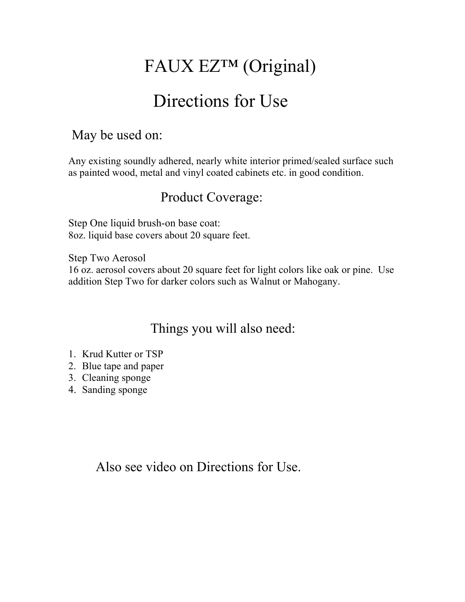# FAUX EZ™ (Original)

# Directions for Use

### May be used on:

Any existing soundly adhered, nearly white interior primed/sealed surface such as painted wood, metal and vinyl coated cabinets etc. in good condition.

## Product Coverage:

Step One liquid brush-on base coat: 8oz. liquid base covers about 20 square feet.

Step Two Aerosol 16 oz. aerosol covers about 20 square feet for light colors like oak or pine. Use addition Step Two for darker colors such as Walnut or Mahogany.

Things you will also need:

- 1. Krud Kutter or TSP
- 2. Blue tape and paper
- 3. Cleaning sponge
- 4. Sanding sponge

Also see video on Directions for Use.